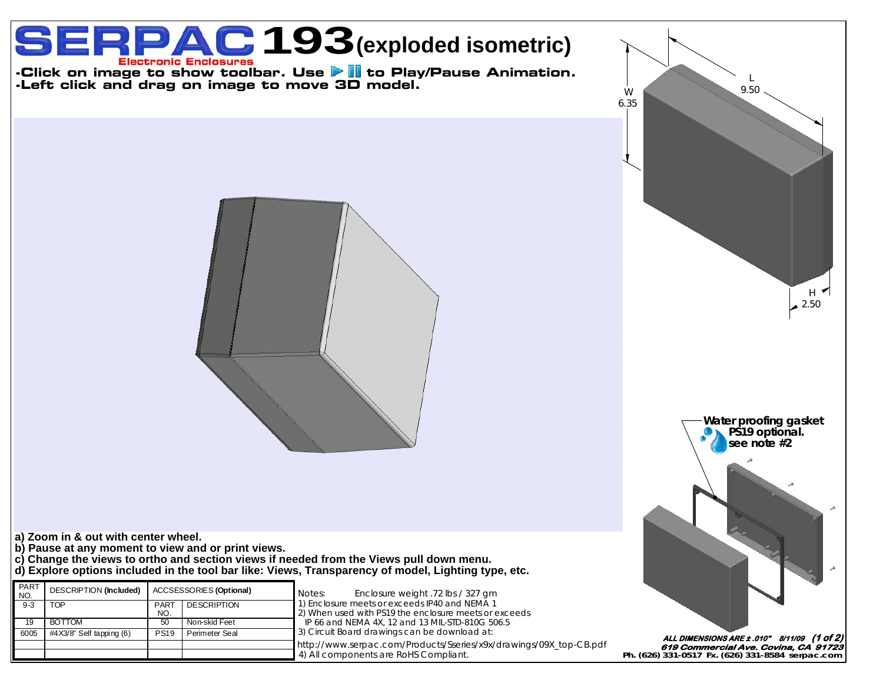